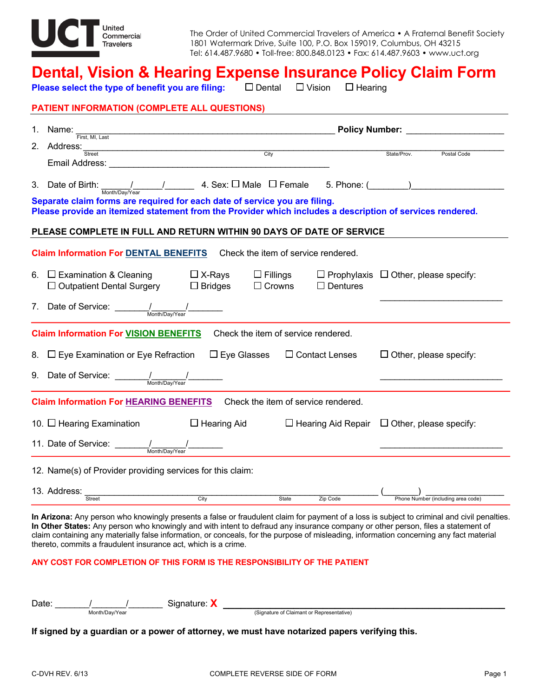

The Order of United Commercial Travelers of America • A Fraternal Benefit Society 1801 Watermark Drive, Suite 100, P.O. Box 159019, Columbus, OH 43215 Tel: 614.487.9680 • Toll-free: 800.848.0123 • Fax: 614.487.9603 • www.uct.org

## **Dental, Vision & Hearing Expense Insurance Policy Claim Form**

**Please select the type of benefit you are filing:** □ Dental  $\Box$  Vision  $\Box$  Hearing

|    | <b>PATIENT INFORMATION (COMPLETE ALL QUESTIONS)</b>                                                              |                                                                               |                                                     |                                                         |  |  |
|----|------------------------------------------------------------------------------------------------------------------|-------------------------------------------------------------------------------|-----------------------------------------------------|---------------------------------------------------------|--|--|
|    |                                                                                                                  | Policy Number: Name of Table 1<br>1. Name: $\frac{1}{\text{First, MI, Last}}$ |                                                     |                                                         |  |  |
|    | 2. Address: Street                                                                                               |                                                                               |                                                     | State/Prov.                                             |  |  |
|    |                                                                                                                  |                                                                               |                                                     | Postal Code                                             |  |  |
|    |                                                                                                                  |                                                                               |                                                     |                                                         |  |  |
|    | Separate claim forms are required for each date of service you are filing.                                       |                                                                               |                                                     |                                                         |  |  |
|    | Please provide an itemized statement from the Provider which includes a description of services rendered.        |                                                                               |                                                     |                                                         |  |  |
|    | PLEASE COMPLETE IN FULL AND RETURN WITHIN 90 DAYS OF DATE OF SERVICE                                             |                                                                               |                                                     |                                                         |  |  |
|    | <b>Claim Information For DENTAL BENEFITS</b>                                                                     |                                                                               | Check the item of service rendered.                 |                                                         |  |  |
|    | 6. $\Box$ Examination & Cleaning $\Box$ X-Rays<br>$\Box$ Outpatient Dental Surgery $\Box$ Bridges                |                                                                               | $\Box$ Fillings<br>$\Box$ Crowns<br>$\Box$ Dentures | $\Box$ Prophylaxis $\Box$ Other, please specify:        |  |  |
|    | 7. Date of Service: $\frac{1}{\frac{M_{\text{onth}}}{M_{\text{onth}}/Day/Year}}$                                 |                                                                               |                                                     |                                                         |  |  |
|    | <b>Claim Information For VISION BENEFITS</b> Check the item of service rendered.                                 |                                                                               |                                                     |                                                         |  |  |
| 8. | $\Box$ Eye Examination or Eye Refraction                                                                         | $\Box$ Eye Glasses                                                            | $\Box$ Contact Lenses                               | $\Box$ Other, please specify:                           |  |  |
|    | 9. Date of Service: $\frac{1}{\frac{M \sinh(Day/Year)}{M \sinh(Day/Year)}}$                                      |                                                                               |                                                     |                                                         |  |  |
|    | <b>Claim Information For HEARING BENEFITS</b>                                                                    |                                                                               | Check the item of service rendered.                 |                                                         |  |  |
|    | 10. $\Box$ Hearing Examination                                                                                   | □ Hearing Aid                                                                 |                                                     | $\Box$ Hearing Aid Repair $\Box$ Other, please specify: |  |  |
|    | 11. Date of Service: $\frac{1}{\frac{M \cdot \text{min}(\text{Dav})}{M \cdot \text{min}(\text{Dav})\text{Var}}}$ |                                                                               |                                                     |                                                         |  |  |
|    | 12. Name(s) of Provider providing services for this claim:                                                       |                                                                               |                                                     |                                                         |  |  |
|    | 13. Address:<br>Street                                                                                           | $\overline{C}$ ity                                                            | State<br>Zip Code                                   | Phone Number (including area code)                      |  |  |
|    |                                                                                                                  |                                                                               |                                                     |                                                         |  |  |

**In Other States:** Any person who knowingly and with intent to defraud any insurance company or other person, files a statement of claim containing any materially false information, or conceals, for the purpose of misleading, information concerning any fact material thereto, commits a fraudulent insurance act, which is a crime.

## **ANY COST FOR COMPLETION OF THIS FORM IS THE RESPONSIBILITY OF THE PATIENT**

| Date |                | Signature: |                                           |
|------|----------------|------------|-------------------------------------------|
|      | Month/Day/Year |            | (Signature of Claimant or Representative) |

**If signed by a guardian or a power of attorney, we must have notarized papers verifying this.**